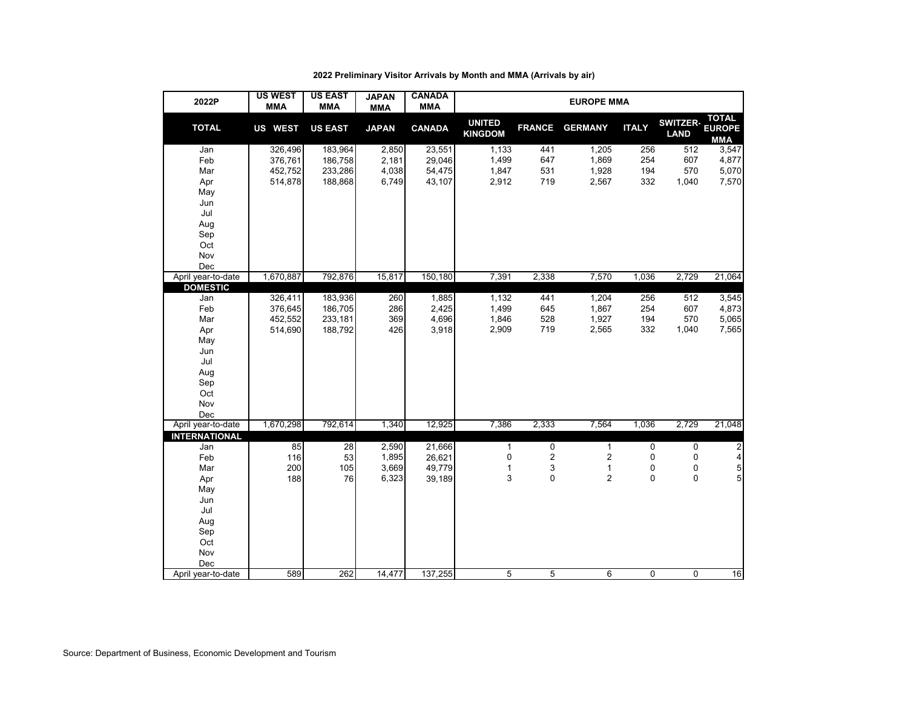| 2022P                | <b>US WEST</b><br><b>MMA</b> | <b>US EAST</b><br><b>MMA</b> | <b>JAPAN</b><br><b>MMA</b> | <b>CANADA</b><br><b>MMA</b> | <b>EUROPE MMA</b>               |                |                                |                          |                                |                                      |  |  |  |
|----------------------|------------------------------|------------------------------|----------------------------|-----------------------------|---------------------------------|----------------|--------------------------------|--------------------------|--------------------------------|--------------------------------------|--|--|--|
| <b>TOTAL</b>         | US WEST                      | <b>US EAST</b>               | <b>JAPAN</b>               | <b>CANADA</b>               | <b>UNITED</b><br><b>KINGDOM</b> | <b>FRANCE</b>  | <b>GERMANY</b>                 | <b>ITALY</b>             | <b>SWITZER-</b><br><b>LAND</b> | <b>TOTAL</b><br><b>EUROPE</b><br>MMA |  |  |  |
| Jan                  | 326,496                      | 183,964                      | 2,850                      | 23,551                      | 1,133                           | 441            | 1,205                          | 256                      | 512                            | 3,547                                |  |  |  |
| Feb                  | 376,761                      | 186,758                      | 2,181                      | 29,046                      | 1,499                           | 647            | 1,869                          | 254                      | 607                            | 4,877                                |  |  |  |
| Mar                  | 452,752                      | 233,286                      | 4,038                      | 54,475                      | 1,847                           | 531            | 1,928                          | 194                      | 570                            | 5,070                                |  |  |  |
| Apr                  | 514,878                      | 188,868                      | 6,749                      | 43,107                      | 2,912                           | 719            | 2,567                          | 332                      | 1,040                          | 7,570                                |  |  |  |
| May                  |                              |                              |                            |                             |                                 |                |                                |                          |                                |                                      |  |  |  |
| Jun                  |                              |                              |                            |                             |                                 |                |                                |                          |                                |                                      |  |  |  |
| Jul                  |                              |                              |                            |                             |                                 |                |                                |                          |                                |                                      |  |  |  |
| Aug                  |                              |                              |                            |                             |                                 |                |                                |                          |                                |                                      |  |  |  |
| Sep                  |                              |                              |                            |                             |                                 |                |                                |                          |                                |                                      |  |  |  |
| Oct                  |                              |                              |                            |                             |                                 |                |                                |                          |                                |                                      |  |  |  |
| Nov                  |                              |                              |                            |                             |                                 |                |                                |                          |                                |                                      |  |  |  |
| Dec                  |                              |                              |                            |                             |                                 |                |                                |                          |                                |                                      |  |  |  |
| April year-to-date   | 1,670,887                    | 792,876                      | 15,817                     | 150,180                     | 7,391                           | 2,338          | 7,570                          | 1,036                    | 2,729                          | 21,064                               |  |  |  |
| <b>DOMESTIC</b>      |                              |                              |                            |                             |                                 |                |                                |                          |                                |                                      |  |  |  |
| Jan                  | 326,411                      | 183,936                      | 260                        | 1,885                       | 1,132                           | 441            | 1,204                          | 256                      | 512                            | 3,545                                |  |  |  |
| Feb                  | 376,645                      | 186,705                      | 286                        | 2,425                       | 1,499                           | 645            | 1,867                          | 254                      | 607                            | 4,873                                |  |  |  |
| Mar                  | 452,552                      | 233,181                      | 369                        | 4,696                       | 1,846                           | 528            | 1,927                          | 194                      | 570                            | 5,065                                |  |  |  |
| Apr                  | 514,690                      | 188,792                      | 426                        | 3,918                       | 2,909                           | 719            | 2,565                          | 332                      | 1,040                          | 7,565                                |  |  |  |
| May                  |                              |                              |                            |                             |                                 |                |                                |                          |                                |                                      |  |  |  |
| Jun                  |                              |                              |                            |                             |                                 |                |                                |                          |                                |                                      |  |  |  |
| Jul                  |                              |                              |                            |                             |                                 |                |                                |                          |                                |                                      |  |  |  |
| Aug                  |                              |                              |                            |                             |                                 |                |                                |                          |                                |                                      |  |  |  |
| Sep                  |                              |                              |                            |                             |                                 |                |                                |                          |                                |                                      |  |  |  |
| Oct                  |                              |                              |                            |                             |                                 |                |                                |                          |                                |                                      |  |  |  |
| Nov                  |                              |                              |                            |                             |                                 |                |                                |                          |                                |                                      |  |  |  |
| Dec                  |                              |                              |                            |                             |                                 |                |                                |                          |                                |                                      |  |  |  |
| April year-to-date   | 1,670,298                    | 792,614                      | 1,340                      | 12,925                      | 7,386                           | 2,333          | 7,564                          | 1,036                    | 2,729                          | 21,048                               |  |  |  |
| <b>INTERNATIONAL</b> |                              | $\overline{28}$              | 2,590                      |                             | $\mathbf{1}$                    | 0              | $\mathbf{1}$                   | 0                        | $\mathbf 0$                    |                                      |  |  |  |
| Jan                  | 85                           |                              | 1,895                      | 21,666                      | $\mathbf 0$                     | $\overline{c}$ |                                |                          |                                | $\overline{\mathbf{c}}$              |  |  |  |
| Feb<br>Mar           | 116<br>200                   | 53                           | 3,669                      | 26,621<br>49,779            |                                 |                | $\boldsymbol{2}$               | 0                        | $\mathbf 0$                    | 4                                    |  |  |  |
|                      | 188                          | 105<br>76                    | 6,323                      | 39,189                      | 1<br>3                          | 3<br>0         | $\mathbf{1}$<br>$\overline{2}$ | $\pmb{0}$<br>$\mathbf 0$ | 0<br>$\mathbf 0$               | $\frac{5}{5}$                        |  |  |  |
| Apr                  |                              |                              |                            |                             |                                 |                |                                |                          |                                |                                      |  |  |  |
| May<br>Jun           |                              |                              |                            |                             |                                 |                |                                |                          |                                |                                      |  |  |  |
| Jul                  |                              |                              |                            |                             |                                 |                |                                |                          |                                |                                      |  |  |  |
|                      |                              |                              |                            |                             |                                 |                |                                |                          |                                |                                      |  |  |  |
| Aug<br>Sep           |                              |                              |                            |                             |                                 |                |                                |                          |                                |                                      |  |  |  |
| Oct                  |                              |                              |                            |                             |                                 |                |                                |                          |                                |                                      |  |  |  |
| Nov                  |                              |                              |                            |                             |                                 |                |                                |                          |                                |                                      |  |  |  |
| Dec                  |                              |                              |                            |                             |                                 |                |                                |                          |                                |                                      |  |  |  |
| April year-to-date   | 589                          | 262                          | 14,477                     | 137,255                     | 5                               | 5              | 6                              | 0                        | $\mathbf 0$                    | 16                                   |  |  |  |
|                      |                              |                              |                            |                             |                                 |                |                                |                          |                                |                                      |  |  |  |

#### **2022 Preliminary Visitor Arrivals by Month and MMA (Arrivals by air)**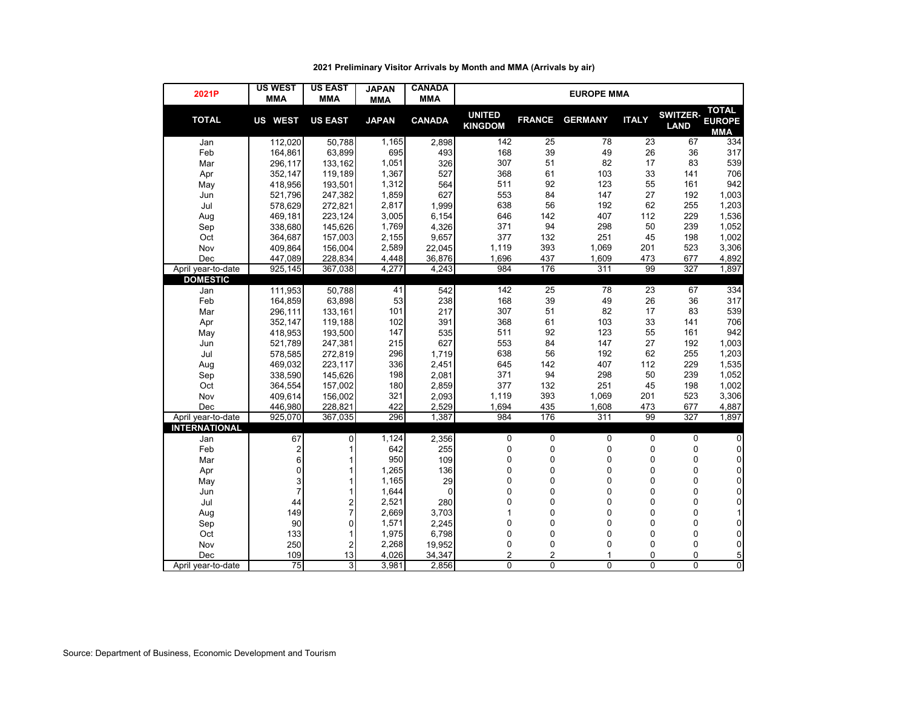| 2021P                | <b>US WEST</b><br><b>MMA</b> | <b>US EAST</b><br><b>MMA</b> | <b>JAPAN</b><br><b>MMA</b> | <b>CANADA</b><br><b>MMA</b> | <b>EUROPE MMA</b>               |                |                |              |                                |                                             |  |  |  |
|----------------------|------------------------------|------------------------------|----------------------------|-----------------------------|---------------------------------|----------------|----------------|--------------|--------------------------------|---------------------------------------------|--|--|--|
| <b>TOTAL</b>         | US WEST                      | <b>US EAST</b>               | <b>JAPAN</b>               | <b>CANADA</b>               | <b>UNITED</b><br><b>KINGDOM</b> | <b>FRANCE</b>  | <b>GERMANY</b> | <b>ITALY</b> | <b>SWITZER-</b><br><b>LAND</b> | <b>TOTAL</b><br><b>EUROPE</b><br><b>MMA</b> |  |  |  |
| Jan                  | 112,020                      | 50,788                       | 1,165                      | 2,898                       | 142                             | 25             | 78             | 23           | 67                             | 334                                         |  |  |  |
| Feb                  | 164,861                      | 63,899                       | 695                        | 493                         | 168                             | 39             | 49             | 26           | 36                             | 317                                         |  |  |  |
| Mar                  | 296,117                      | 133,162                      | 1,051                      | 326                         | 307                             | 51             | 82             | 17           | 83                             | 539                                         |  |  |  |
| Apr                  | 352,147                      | 119,189                      | 1,367                      | 527                         | 368                             | 61             | 103            | 33           | 141                            | 706                                         |  |  |  |
| May                  | 418,956                      | 193,501                      | 1,312                      | 564                         | 511                             | 92             | 123            | 55           | 161                            | 942                                         |  |  |  |
| Jun                  | 521,796                      | 247,382                      | 1,859                      | 627                         | 553                             | 84             | 147            | 27           | 192                            | 1,003                                       |  |  |  |
| Jul                  | 578,629                      | 272,821                      | 2,817                      | 1,999                       | 638                             | 56             | 192            | 62           | 255                            | 1,203                                       |  |  |  |
| Aug                  | 469,181                      | 223,124                      | 3,005                      | 6,154                       | 646                             | 142            | 407            | 112          | 229                            | 1,536                                       |  |  |  |
| Sep                  | 338,680                      | 145,626                      | 1,769                      | 4,326                       | 371                             | 94             | 298            | 50           | 239                            | 1,052                                       |  |  |  |
| Oct                  | 364,687                      | 157,003                      | 2,155                      | 9,657                       | 377                             | 132            | 251            | 45           | 198                            | 1,002                                       |  |  |  |
| Nov                  | 409,864                      | 156,004                      | 2,589                      | 22,045                      | 1,119                           | 393            | 1,069          | 201          | 523                            | 3,306                                       |  |  |  |
| Dec                  | 447,089                      | 228,834                      | 4,448                      | 36,876                      | 1,696                           | 437            | 1,609          | 473          | 677                            | 4,892                                       |  |  |  |
| April year-to-date   | 925,145                      | 367,038                      | 4,277                      | 4,243                       | 984                             | 176            | 311            | 99           | 327                            | 1,897                                       |  |  |  |
| <b>DOMESTIC</b>      |                              |                              |                            |                             |                                 |                |                |              |                                |                                             |  |  |  |
| Jan                  | 111,953                      | 50,788                       | 41                         | 542                         | 142                             | 25             | 78             | 23           | 67                             | 334                                         |  |  |  |
| Feb                  | 164,859                      | 63,898                       | 53                         | 238                         | 168                             | 39             | 49             | 26           | 36                             | 317                                         |  |  |  |
| Mar                  | 296,111                      | 133,161                      | 101                        | 217                         | 307                             | 51             | 82             | 17           | 83                             | 539                                         |  |  |  |
| Apr                  | 352,147                      | 119,188                      | 102                        | 391                         | 368                             | 61             | 103            | 33           | 141                            | 706                                         |  |  |  |
| May                  | 418,953                      | 193,500                      | 147                        | 535                         | 511                             | 92             | 123            | 55           | 161                            | 942                                         |  |  |  |
| Jun                  | 521,789                      | 247,381                      | 215                        | 627                         | 553                             | 84             | 147            | 27           | 192                            | 1,003                                       |  |  |  |
| Jul                  | 578,585                      | 272,819                      | 296                        | 1,719                       | 638                             | 56             | 192            | 62           | 255                            | 1,203                                       |  |  |  |
| Aug                  | 469,032                      | 223,117                      | 336                        | 2,451                       | 645                             | 142            | 407            | 112          | 229                            | 1,535                                       |  |  |  |
| Sep                  | 338,590                      | 145,626                      | 198                        | 2,081                       | 371                             | 94             | 298            | 50           | 239                            | 1,052                                       |  |  |  |
| Oct                  | 364,554                      | 157,002                      | 180                        | 2,859                       | 377                             | 132            | 251            | 45           | 198                            | 1,002                                       |  |  |  |
| Nov                  | 409,614                      | 156,002                      | 321                        | 2,093                       | 1,119                           | 393            | 1,069          | 201          | 523                            | 3,306                                       |  |  |  |
| Dec                  | 446,980                      | 228.821                      | 422                        | 2,529                       | 1,694                           | 435            | 1,608          | 473          | 677                            | 4,887                                       |  |  |  |
| April year-to-date   | 925,070                      | 367,035                      | 296                        | 1,387                       | 984                             | 176            | 311            | 99           | 327                            | 1,897                                       |  |  |  |
| <b>INTERNATIONAL</b> |                              |                              |                            |                             |                                 |                |                |              |                                |                                             |  |  |  |
| Jan                  | 67                           | 0                            | 1,124                      | 2,356                       | 0                               | 0              | 0              | $\pmb{0}$    | 0                              | $\pmb{0}$                                   |  |  |  |
| Feb                  | $\overline{\mathbf{c}}$      | 1                            | 642                        | 255                         | 0                               | 0              | 0              | $\pmb{0}$    | 0                              | $\pmb{0}$                                   |  |  |  |
| Mar                  | 6                            | 1                            | 950                        | 109                         | 0                               | 0              | 0              | $\mathbf 0$  | 0                              | $\pmb{0}$                                   |  |  |  |
| Apr                  | 0                            | 1                            | 1,265                      | 136                         | 0                               | 0              | 0              | 0            | $\mathbf 0$                    | $\pmb{0}$                                   |  |  |  |
| May                  | 3                            | 1                            | 1,165                      | 29                          | 0                               | $\mathbf 0$    | 0              | 0            | $\mathbf 0$                    | 0                                           |  |  |  |
| Jun                  | $\overline{7}$               | 1                            | 1,644                      | 0                           | 0                               | 0              | 0              | 0            | $\mathbf 0$                    | 0                                           |  |  |  |
| Jul                  | 44                           | $\frac{2}{7}$                | 2,521                      | 280                         | 0                               | 0              | 0              | $\mathbf 0$  | 0                              | $\mathbf 0$                                 |  |  |  |
| Aug                  | 149                          |                              | 2,669                      | 3,703                       | 1                               | 0              | 0              | 0            | $\mathbf 0$                    | $\mathbf{1}$                                |  |  |  |
| Sep                  | 90                           | $\mathbf 0$                  | 1,571                      | 2,245                       | 0                               | 0              | 0              | $\mathbf 0$  | 0                              | 0                                           |  |  |  |
| Oct                  | 133                          | 1                            | 1,975                      | 6,798                       | 0                               | 0              | 0              | 0            | 0                              | $\pmb{0}$                                   |  |  |  |
| Nov                  | 250                          | $\overline{2}$               | 2,268                      | 19,952                      | 0                               | 0              | 0              | 0            | 0                              | $\pmb{0}$                                   |  |  |  |
| Dec                  | 109                          | 13                           | 4,026                      | 34,347                      | $\overline{2}$                  | $\overline{c}$ | 1              | 0            | $\mathbf 0$                    | 5                                           |  |  |  |
| April year-to-date   | 75                           | 3                            | 3,981                      | 2,856                       | $\Omega$                        | 0              | 0              | 0            | $\mathbf{0}$                   | $\overline{0}$                              |  |  |  |

# **2021 Preliminary Visitor Arrivals by Month and MMA (Arrivals by air)**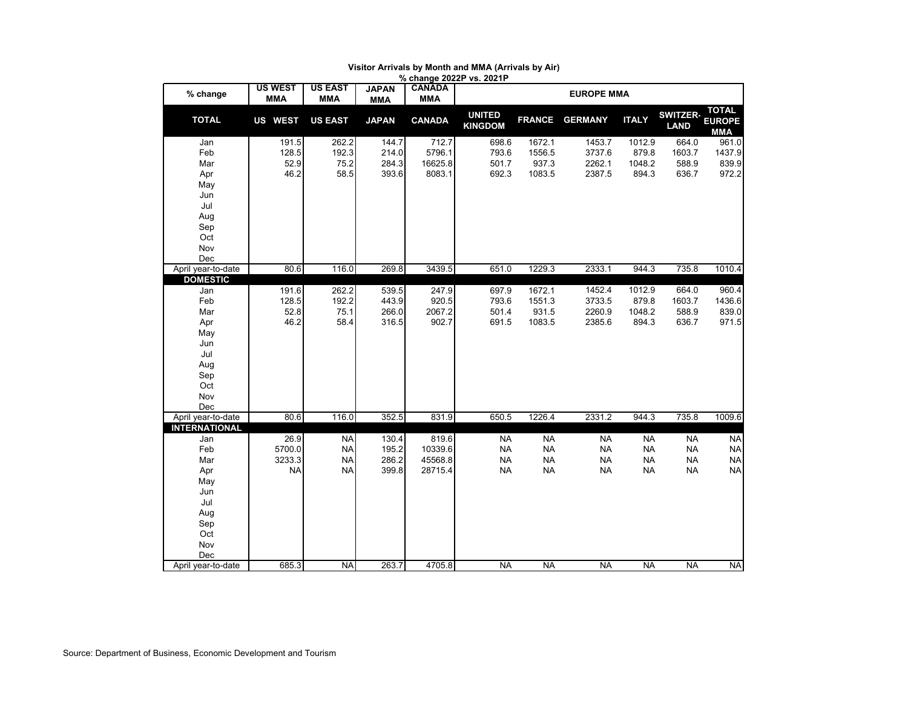|                      |                              |                              |                            |                             | % change 2022P vs. 2021P        |               |                |              |                                |                                      |
|----------------------|------------------------------|------------------------------|----------------------------|-----------------------------|---------------------------------|---------------|----------------|--------------|--------------------------------|--------------------------------------|
| % change             | <b>US WEST</b><br><b>MMA</b> | <b>US EAST</b><br><b>MMA</b> | <b>JAPAN</b><br><b>MMA</b> | <b>CANADA</b><br><b>MMA</b> |                                 |               |                |              |                                |                                      |
| <b>TOTAL</b>         | <b>US WEST</b>               | <b>US EAST</b>               | <b>JAPAN</b>               | <b>CANADA</b>               | <b>UNITED</b><br><b>KINGDOM</b> | <b>FRANCE</b> | <b>GERMANY</b> | <b>ITALY</b> | <b>SWITZER-</b><br><b>LAND</b> | <b>TOTAL</b><br><b>EUROPE</b><br>MMA |
| Jan                  | 191.5                        | 262.2                        | 144.7                      | 712.7                       | 698.6                           | 1672.1        | 1453.7         | 1012.9       | 664.0                          | 961.0                                |
| Feb                  | 128.5                        | 192.3                        | 214.0                      | 5796.1                      | 793.6                           | 1556.5        | 3737.6         | 879.8        | 1603.7                         | 1437.9                               |
| Mar                  | 52.9                         | 75.2                         | 284.3                      | 16625.8                     | 501.7                           | 937.3         | 2262.1         | 1048.2       | 588.9                          | 839.9                                |
| Apr                  | 46.2                         | 58.5                         | 393.6                      | 8083.1                      | 692.3                           | 1083.5        | 2387.5         | 894.3        | 636.7                          | 972.2                                |
| May                  |                              |                              |                            |                             |                                 |               |                |              |                                |                                      |
| Jun                  |                              |                              |                            |                             |                                 |               |                |              |                                |                                      |
| Jul                  |                              |                              |                            |                             |                                 |               |                |              |                                |                                      |
| Aug                  |                              |                              |                            |                             |                                 |               |                |              |                                |                                      |
| Sep                  |                              |                              |                            |                             |                                 |               |                |              |                                |                                      |
| Oct                  |                              |                              |                            |                             |                                 |               |                |              |                                |                                      |
| Nov<br>Dec           |                              |                              |                            |                             |                                 |               |                |              |                                |                                      |
| April year-to-date   | 80.6                         | 116.0                        | 269.8                      | 3439.5                      | 651.0                           | 1229.3        | 2333.1         | 944.3        | 735.8                          | 1010.4                               |
| <b>DOMESTIC</b>      |                              |                              |                            |                             |                                 |               |                |              |                                |                                      |
| Jan                  | 191.6                        | 262.2                        | 539.5                      | 247.9                       | 697.9                           | 1672.1        | 1452.4         | 1012.9       | 664.0                          | 960.4                                |
| Feb                  | 128.5                        | 192.2                        | 443.9                      | 920.5                       | 793.6                           | 1551.3        | 3733.5         | 879.8        | 1603.7                         | 1436.6                               |
| Mar                  | 52.8                         | 75.1                         | 266.0                      | 2067.2                      | 501.4                           | 931.5         | 2260.9         | 1048.2       | 588.9                          | 839.0                                |
| Apr                  | 46.2                         | 58.4                         | 316.5                      | 902.7                       | 691.5                           | 1083.5        | 2385.6         | 894.3        | 636.7                          | 971.5                                |
| May                  |                              |                              |                            |                             |                                 |               |                |              |                                |                                      |
| Jun                  |                              |                              |                            |                             |                                 |               |                |              |                                |                                      |
| Jul                  |                              |                              |                            |                             |                                 |               |                |              |                                |                                      |
| Aug                  |                              |                              |                            |                             |                                 |               |                |              |                                |                                      |
| Sep                  |                              |                              |                            |                             |                                 |               |                |              |                                |                                      |
| Oct                  |                              |                              |                            |                             |                                 |               |                |              |                                |                                      |
| Nov<br>Dec           |                              |                              |                            |                             |                                 |               |                |              |                                |                                      |
| April year-to-date   | 80.6                         | 116.0                        | 352.5                      | 831.9                       | 650.5                           | 1226.4        | 2331.2         | 944.3        | 735.8                          | 1009.6                               |
| <b>INTERNATIONAL</b> |                              |                              |                            |                             |                                 |               |                |              |                                |                                      |
| Jan                  | 26.9                         | <b>NA</b>                    | 130.4                      | 819.6                       | <b>NA</b>                       | <b>NA</b>     | <b>NA</b>      | <b>NA</b>    | <b>NA</b>                      | <b>NA</b>                            |
| Feb                  | 5700.0                       | <b>NA</b>                    | 195.2                      | 10339.6                     | <b>NA</b>                       | <b>NA</b>     | <b>NA</b>      | <b>NA</b>    | <b>NA</b>                      | <b>NA</b>                            |
| Mar                  | 3233.3                       | <b>NA</b>                    | 286.2                      | 45568.8                     | <b>NA</b>                       | <b>NA</b>     | <b>NA</b>      | <b>NA</b>    | <b>NA</b>                      | <b>NA</b>                            |
| Apr                  | <b>NA</b>                    | <b>NA</b>                    | 399.8                      | 28715.4                     | <b>NA</b>                       | <b>NA</b>     | <b>NA</b>      | <b>NA</b>    | <b>NA</b>                      | <b>NA</b>                            |
| May                  |                              |                              |                            |                             |                                 |               |                |              |                                |                                      |
| Jun                  |                              |                              |                            |                             |                                 |               |                |              |                                |                                      |
| Jul                  |                              |                              |                            |                             |                                 |               |                |              |                                |                                      |
| Aug                  |                              |                              |                            |                             |                                 |               |                |              |                                |                                      |
| Sep                  |                              |                              |                            |                             |                                 |               |                |              |                                |                                      |
| Oct<br>Nov           |                              |                              |                            |                             |                                 |               |                |              |                                |                                      |
| Dec                  |                              |                              |                            |                             |                                 |               |                |              |                                |                                      |
| April year-to-date   | 685.3                        | <b>NA</b>                    | 263.7                      | 4705.8                      | <b>NA</b>                       | <b>NA</b>     | <b>NA</b>      | <b>NA</b>    | <b>NA</b>                      | <b>NA</b>                            |
|                      |                              |                              |                            |                             |                                 |               |                |              |                                |                                      |

#### **Visitor Arrivals by Month and MMA (Arrivals by Air)**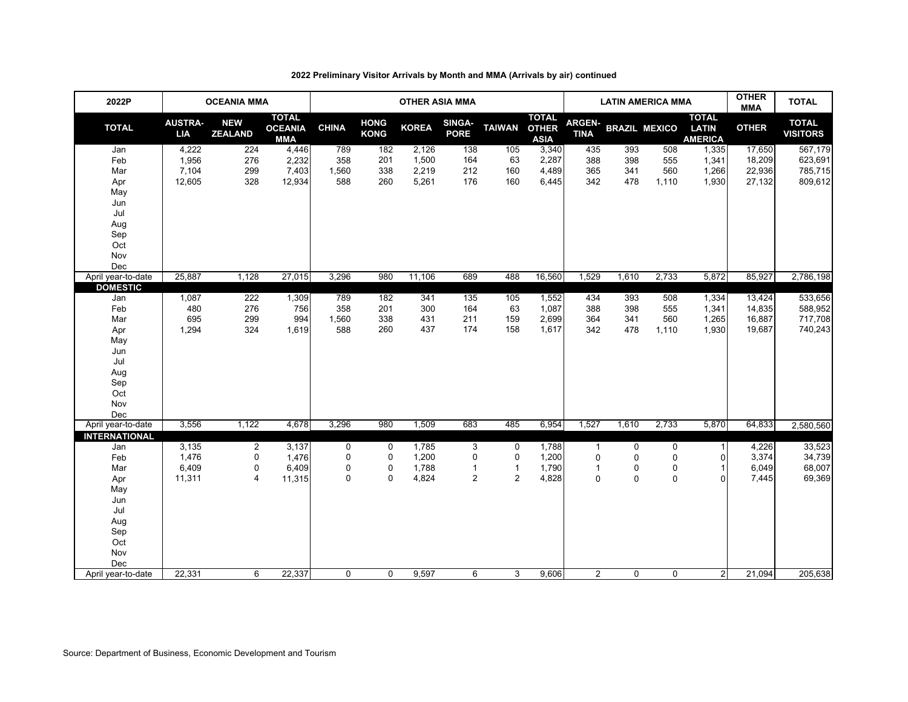| 2022P                  |                              | <b>OCEANIA MMA</b>           |                                              | <b>OTHER ASIA MMA</b> |                            |              |                       |                |                                             |                              | <b>LATIN AMERICA MMA</b> | <b>OTHER</b><br><b>MMA</b> | <b>TOTAL</b>                                   |              |                                 |
|------------------------|------------------------------|------------------------------|----------------------------------------------|-----------------------|----------------------------|--------------|-----------------------|----------------|---------------------------------------------|------------------------------|--------------------------|----------------------------|------------------------------------------------|--------------|---------------------------------|
| <b>TOTAL</b>           | <b>AUSTRA-</b><br><b>LIA</b> | <b>NEW</b><br><b>ZEALAND</b> | <b>TOTAL</b><br><b>OCEANIA</b><br><b>MMA</b> | <b>CHINA</b>          | <b>HONG</b><br><b>KONG</b> | <b>KOREA</b> | SINGA-<br><b>PORE</b> | <b>TAIWAN</b>  | <b>TOTAL</b><br><b>OTHER</b><br><b>ASIA</b> | <b>ARGEN-</b><br><b>TINA</b> | <b>BRAZIL MEXICO</b>     |                            | <b>TOTAL</b><br><b>LATIN</b><br><b>AMERICA</b> | <b>OTHER</b> | <b>TOTAL</b><br><b>VISITORS</b> |
| Jan                    | 4,222                        | 224                          | 4,446                                        | 789                   | 182                        | 2,126        | 138                   | 105            | 3,340                                       | 435                          | 393                      | 508                        | 1,335                                          | 17,650       | 567,179                         |
| Feb                    | 1,956                        | 276                          | 2,232                                        | 358                   | 201                        | 1,500        | 164                   | 63             | 2,287                                       | 388                          | 398                      | 555                        | 1,341                                          | 18,209       | 623,691                         |
| Mar                    | 7,104                        | 299                          | 7,403                                        | 1,560                 | 338                        | 2,219        | 212                   | 160            | 4,489                                       | 365                          | 341                      | 560                        | 1,266                                          | 22,936       | 785,715                         |
| Apr                    | 12,605                       | 328                          | 12,934                                       | 588                   | 260                        | 5,261        | 176                   | 160            | 6,445                                       | 342                          | 478                      | 1,110                      | 1,930                                          | 27,132       | 809,612                         |
| May                    |                              |                              |                                              |                       |                            |              |                       |                |                                             |                              |                          |                            |                                                |              |                                 |
| Jun                    |                              |                              |                                              |                       |                            |              |                       |                |                                             |                              |                          |                            |                                                |              |                                 |
| Jul                    |                              |                              |                                              |                       |                            |              |                       |                |                                             |                              |                          |                            |                                                |              |                                 |
| Aug                    |                              |                              |                                              |                       |                            |              |                       |                |                                             |                              |                          |                            |                                                |              |                                 |
| Sep                    |                              |                              |                                              |                       |                            |              |                       |                |                                             |                              |                          |                            |                                                |              |                                 |
| Oct                    |                              |                              |                                              |                       |                            |              |                       |                |                                             |                              |                          |                            |                                                |              |                                 |
| Nov                    |                              |                              |                                              |                       |                            |              |                       |                |                                             |                              |                          |                            |                                                |              |                                 |
| Dec                    |                              |                              |                                              |                       |                            |              |                       |                |                                             |                              |                          |                            |                                                |              |                                 |
| April year-to-date     | 25,887                       | 1,128                        | 27,015                                       | 3,296                 | 980                        | 11,106       | 689                   | 488            | 16,560                                      | 1,529                        | 1,610                    | 2,733                      | 5,872                                          | 85,927       | 2,786,198                       |
| <b>DOMESTIC</b><br>Jan | 1,087                        | 222                          | 1,309                                        | 789                   | 182                        | 341          | 135                   | 105            | 1,552                                       | 434                          | 393                      | 508                        | 1,334                                          | 13,424       | 533,656                         |
| Feb                    | 480                          | 276                          | 756                                          | 358                   | 201                        | 300          | 164                   | 63             | 1,087                                       | 388                          | 398                      | 555                        | 1,341                                          | 14,835       | 588,952                         |
| Mar                    | 695                          | 299                          | 994                                          | 1,560                 | 338                        | 431          | 211                   | 159            | 2,699                                       | 364                          | 341                      | 560                        | 1,265                                          | 16,887       | 717,708                         |
| Apr                    | 1,294                        | 324                          | 1,619                                        | 588                   | 260                        | 437          | 174                   | 158            | 1,617                                       | 342                          | 478                      | 1,110                      | 1,930                                          | 19,687       | 740,243                         |
| May                    |                              |                              |                                              |                       |                            |              |                       |                |                                             |                              |                          |                            |                                                |              |                                 |
| Jun                    |                              |                              |                                              |                       |                            |              |                       |                |                                             |                              |                          |                            |                                                |              |                                 |
| Jul                    |                              |                              |                                              |                       |                            |              |                       |                |                                             |                              |                          |                            |                                                |              |                                 |
| Aug                    |                              |                              |                                              |                       |                            |              |                       |                |                                             |                              |                          |                            |                                                |              |                                 |
| Sep                    |                              |                              |                                              |                       |                            |              |                       |                |                                             |                              |                          |                            |                                                |              |                                 |
| Oct                    |                              |                              |                                              |                       |                            |              |                       |                |                                             |                              |                          |                            |                                                |              |                                 |
| Nov                    |                              |                              |                                              |                       |                            |              |                       |                |                                             |                              |                          |                            |                                                |              |                                 |
| Dec                    |                              |                              |                                              |                       |                            |              |                       |                |                                             |                              |                          |                            |                                                |              |                                 |
| April year-to-date     | 3,556                        | 1,122                        | 4,678                                        | 3,296                 | 980                        | 1,509        | 683                   | 485            | 6,954                                       | 1,527                        | 1,610                    | 2,733                      | 5,870                                          | 64,833       | 2,580,560                       |
| <b>INTERNATIONAL</b>   |                              |                              |                                              |                       |                            |              |                       |                |                                             |                              |                          |                            |                                                |              |                                 |
| Jan                    | 3,135                        | $\overline{2}$               | 3,137                                        | 0                     | $\mathbf 0$                | 1,785        | 3                     | 0              | 1,788                                       | $\mathbf{1}$                 | 0                        | 0                          | 1                                              | 4,226        | 33,523                          |
| Feb                    | 1,476                        | 0                            | 1,476                                        | $\mathbf 0$           | 0                          | 1,200        | 0                     | 0              | 1,200                                       | $\mathbf 0$                  | 0                        | $\mathbf 0$                | 0                                              | 3,374        | 34,739                          |
| Mar                    | 6,409                        | $\mathbf 0$                  | 6,409                                        | $\mathbf 0$           | 0                          | 1,788        | $\mathbf{1}$          | $\mathbf{1}$   | 1,790                                       | $\mathbf{1}$                 | 0                        | 0                          | 1                                              | 6,049        | 68,007                          |
| Apr                    | 11,311                       | $\overline{4}$               | 11,315                                       | $\mathbf 0$           | $\Omega$                   | 4,824        | $\overline{2}$        | $\overline{2}$ | 4,828                                       | $\pmb{0}$                    | 0                        | $\mathbf 0$                | 0                                              | 7,445        | 69,369                          |
| May                    |                              |                              |                                              |                       |                            |              |                       |                |                                             |                              |                          |                            |                                                |              |                                 |
| Jun                    |                              |                              |                                              |                       |                            |              |                       |                |                                             |                              |                          |                            |                                                |              |                                 |
| Jul                    |                              |                              |                                              |                       |                            |              |                       |                |                                             |                              |                          |                            |                                                |              |                                 |
| Aug                    |                              |                              |                                              |                       |                            |              |                       |                |                                             |                              |                          |                            |                                                |              |                                 |
| Sep                    |                              |                              |                                              |                       |                            |              |                       |                |                                             |                              |                          |                            |                                                |              |                                 |
| Oct                    |                              |                              |                                              |                       |                            |              |                       |                |                                             |                              |                          |                            |                                                |              |                                 |
| Nov                    |                              |                              |                                              |                       |                            |              |                       |                |                                             |                              |                          |                            |                                                |              |                                 |
| Dec                    |                              |                              |                                              |                       |                            |              |                       |                |                                             |                              |                          |                            |                                                |              |                                 |
| April year-to-date     | 22,331                       | 6                            | 22,337                                       | $\mathbf 0$           | $\mathbf 0$                | 9,597        | 6                     | 3              | 9,606                                       | $\overline{2}$               | $\mathbf 0$              | $\mathbf 0$                | $\overline{2}$                                 | 21,094       | 205,638                         |

### **2022 Preliminary Visitor Arrivals by Month and MMA (Arrivals by air) continued**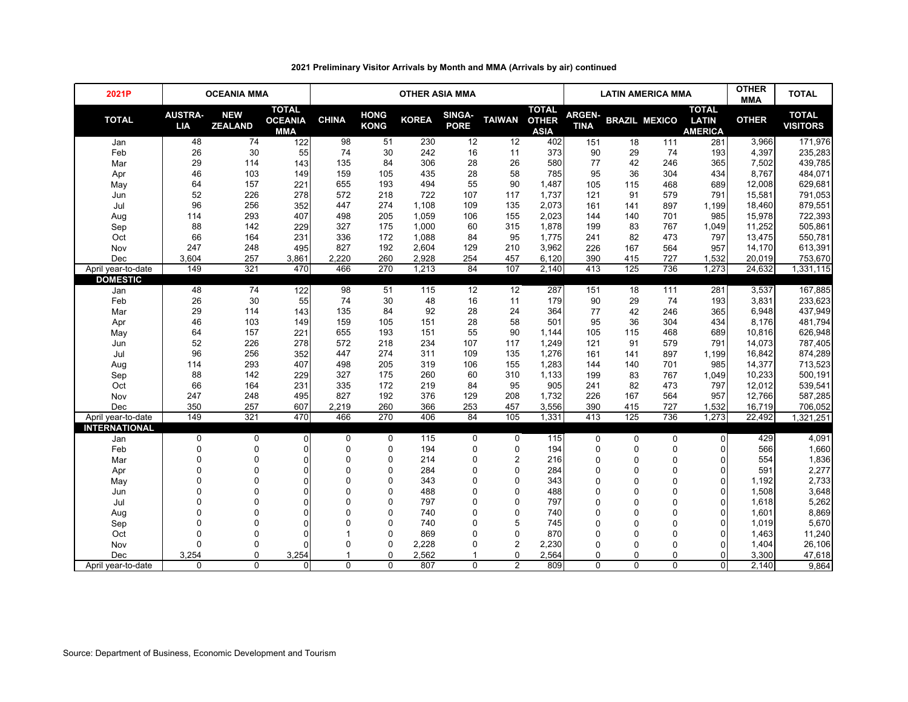| 2021P                |                              | <b>OCEANIA MMA</b>           |                                       | <b>OTHER ASIA MMA</b> |                            |              |                       |                         |                                             |                              | <b>LATIN AMERICA MMA</b> | <b>OTHER</b><br><b>MMA</b> | <b>TOTAL</b>                                   |              |                                 |
|----------------------|------------------------------|------------------------------|---------------------------------------|-----------------------|----------------------------|--------------|-----------------------|-------------------------|---------------------------------------------|------------------------------|--------------------------|----------------------------|------------------------------------------------|--------------|---------------------------------|
| <b>TOTAL</b>         | <b>AUSTRA-</b><br><b>LIA</b> | <b>NEW</b><br><b>ZEALAND</b> | <b>TOTAL</b><br><b>OCEANIA</b><br>MMA | <b>CHINA</b>          | <b>HONG</b><br><b>KONG</b> | <b>KOREA</b> | SINGA-<br><b>PORE</b> | <b>TAIWAN</b>           | <b>TOTAL</b><br><b>OTHER</b><br><b>ASIA</b> | <b>ARGEN-</b><br><b>TINA</b> |                          | <b>BRAZIL MEXICO</b>       | <b>TOTAL</b><br><b>LATIN</b><br><b>AMERICA</b> | <b>OTHER</b> | <b>TOTAL</b><br><b>VISITORS</b> |
| Jan                  | 48                           | 74                           | 122                                   | 98                    | 51                         | 230          | 12                    | 12                      | 402                                         | 151                          | 18                       | 111                        | 281                                            | 3,966        | 171,976                         |
| Feb                  | 26                           | 30                           | 55                                    | 74                    | 30                         | 242          | 16                    | 11                      | 373                                         | 90                           | 29                       | 74                         | 193                                            | 4,397        | 235,283                         |
| Mar                  | 29                           | 114                          | 143                                   | 135                   | 84                         | 306          | 28                    | 26                      | 580                                         | 77                           | 42                       | 246                        | 365                                            | 7,502        | 439,785                         |
| Apr                  | 46                           | 103                          | 149                                   | 159                   | 105                        | 435          | 28                    | 58                      | 785                                         | 95                           | 36                       | 304                        | 434                                            | 8,767        | 484,071                         |
| May                  | 64                           | 157                          | 221                                   | 655                   | 193                        | 494          | 55                    | 90                      | 1,487                                       | 105                          | 115                      | 468                        | 689                                            | 12,008       | 629,681                         |
| Jun                  | 52                           | 226                          | 278                                   | 572                   | 218                        | 722          | 107                   | 117                     | 1,737                                       | 121                          | 91                       | 579                        | 791                                            | 15,581       | 791,053                         |
| Jul                  | 96                           | 256                          | 352                                   | 447                   | 274                        | 1,108        | 109                   | 135                     | 2,073                                       | 161                          | 141                      | 897                        | 1,199                                          | 18,460       | 879,551                         |
| Aug                  | 114                          | 293                          | 407                                   | 498                   | 205                        | 1,059        | 106                   | 155                     | 2,023                                       | 144                          | 140                      | 701                        | 985                                            | 15.978       | 722,393                         |
| Sep                  | 88                           | 142                          | 229                                   | 327                   | 175                        | 1,000        | 60                    | 315                     | 1,878                                       | 199                          | 83                       | 767                        | 1,049                                          | 11,252       | 505,861                         |
| Oct                  | 66                           | 164                          | 231                                   | 336                   | 172                        | 1,088        | 84                    | 95                      | 1,775                                       | 241                          | 82                       | 473                        | 797                                            | 13,475       | 550,781                         |
| Nov                  | 247                          | 248                          | 495                                   | 827                   | 192                        | 2,604        | 129                   | 210                     | 3,962                                       | 226                          | 167                      | 564                        | 957                                            | 14,170       | 613,391                         |
| Dec                  | 3,604                        | 257                          | 3,861                                 | 2,220                 | 260                        | 2,928        | 254                   | 457                     | 6,120                                       | 390                          | 415                      | 727                        | 1,532                                          | 20,019       | 753,670                         |
| April year-to-date   | 149                          | 321                          | 470                                   | 466                   | 270                        | 1,213        | 84                    | 107                     | 2,140                                       | 413                          | 125                      | 736                        | 1,273                                          | 24,632       | 1,331,115                       |
| <b>DOMESTIC</b>      |                              |                              |                                       |                       |                            |              |                       |                         |                                             |                              |                          |                            |                                                |              |                                 |
| Jan                  | 48                           | 74                           | 122                                   | 98                    | 51                         | 115          | 12                    | 12                      | 287                                         | 151                          | 18                       | 111                        | 281                                            | 3,537        | 167,885                         |
| Feb                  | 26                           | 30                           | 55                                    | 74                    | 30                         | 48           | 16                    | 11                      | 179                                         | 90                           | 29                       | 74                         | 193                                            | 3,831        | 233,623                         |
| Mar                  | 29                           | 114                          | 143                                   | 135                   | 84                         | 92           | 28                    | 24                      | 364                                         | 77                           | 42                       | 246                        | 365                                            | 6.948        | 437,949                         |
| Apr                  | 46                           | 103                          | 149                                   | 159                   | 105                        | 151          | 28                    | 58                      | 501                                         | 95                           | 36                       | 304                        | 434                                            | 8,176        | 481,794                         |
| May                  | 64                           | 157                          | 221                                   | 655                   | 193                        | 151          | 55                    | 90                      | 1,144                                       | 105                          | 115                      | 468                        | 689                                            | 10,816       | 626,948                         |
| Jun                  | 52                           | 226                          | 278                                   | 572                   | 218                        | 234          | 107                   | 117                     | 1,249                                       | 121                          | 91                       | 579                        | 791                                            | 14,073       | 787,405                         |
| Jul                  | 96                           | 256                          | 352                                   | 447                   | 274                        | 311          | 109                   | 135                     | 1,276                                       | 161                          | 141                      | 897                        | 1,199                                          | 16,842       | 874,289                         |
| Aug                  | 114                          | 293                          | 407                                   | 498                   | 205                        | 319          | 106                   | 155                     | 1,283                                       | 144                          | 140                      | 701                        | 985                                            | 14,377       | 713,523                         |
| Sep                  | 88                           | 142                          | 229                                   | 327                   | 175                        | 260          | 60                    | 310                     | 1,133                                       | 199                          | 83                       | 767                        | 1,049                                          | 10,233       | 500,191                         |
| Oct                  | 66                           | 164                          | 231                                   | 335                   | 172                        | 219          | 84                    | 95                      | 905                                         | 241                          | 82                       | 473                        | 797                                            | 12,012       | 539,541                         |
| Nov                  | 247                          | 248                          | 495                                   | 827                   | 192                        | 376          | 129                   | 208                     | 1,732                                       | 226                          | 167                      | 564                        | 957                                            | 12,766       | 587,285                         |
| Dec                  | 350                          | 257                          | 607                                   | 2,219                 | 260                        | 366          | 253                   | 457                     | 3,556                                       | 390                          | 415                      | 727                        | 1.532                                          | 16,719       | 706,052                         |
| April year-to-date   | 149                          | 321                          | 470                                   | 466                   | 270                        | 406          | 84                    | 105                     | 1,331                                       | 413                          | 125                      | 736                        | 1,273                                          | 22,492       | 1,321,251                       |
| <b>INTERNATIONAL</b> |                              |                              |                                       |                       |                            |              |                       |                         |                                             |                              |                          |                            |                                                |              |                                 |
| Jan                  | 0                            | $\pmb{0}$                    | $\overline{0}$                        | 0                     | $\mathbf 0$                | 115          | $\mathbf 0$           | $\mathbf 0$             | 115                                         | $\pmb{0}$                    | $\mathbf 0$              | $\boldsymbol{0}$           | $\mathbf{0}$                                   | 429          | 4,091                           |
| Feb                  | 0                            | $\Omega$                     | 0                                     | $\mathbf{0}$          | 0                          | 194          | $\mathbf 0$           | $\mathbf 0$             | 194                                         | $\mathbf 0$                  | $\mathbf 0$              | $\mathbf{0}$               | 0                                              | 566          | 1,660                           |
| Mar                  | 0                            | $\Omega$                     | $\Omega$                              | $\Omega$              | 0                          | 214          | $\mathbf 0$           | $\overline{\mathbf{c}}$ | 216                                         | $\mathbf 0$                  | $\Omega$                 | $\mathbf 0$                | 0                                              | 554          | 1,836                           |
| Apr                  | $\mathbf 0$                  | $\Omega$                     | $\Omega$                              | $\Omega$              | $\Omega$                   | 284          | $\mathbf 0$           | $\mathbf 0$             | 284                                         | $\mathbf 0$                  | $\Omega$                 | 0                          | 0                                              | 591          | 2,277                           |
| May                  | $\overline{0}$               | $\Omega$                     | $\Omega$                              | $\Omega$              | 0                          | 343          | $\Omega$              | $\mathbf 0$             | 343                                         | $\mathbf 0$                  | $\Omega$                 | $\Omega$                   | $\mathbf{0}$                                   | 1,192        | 2,733                           |
| Jun                  | $\Omega$                     | $\Omega$                     | $\Omega$                              | $\Omega$              | 0                          | 488          | $\Omega$              | $\Omega$                | 488                                         | $\mathbf 0$                  | $\Omega$                 | $\Omega$                   | $\Omega$                                       | 1,508        | 3,648                           |
| Jul                  | $\Omega$                     | $\Omega$                     | $\Omega$                              | $\Omega$              | 0                          | 797          | $\mathbf 0$           | $\mathbf 0$             | 797                                         | $\mathbf 0$                  | $\Omega$                 | $\mathbf{0}$               | $\Omega$                                       | 1,618        | 5,262                           |
| Aug                  | $\Omega$                     | $\Omega$                     | $\Omega$                              | $\Omega$              | 0                          | 740          | $\Omega$              | $\mathbf 0$             | 740                                         | $\mathbf 0$                  | $\Omega$                 | $\mathbf{0}$               | $\Omega$                                       | 1,601        | 8,869                           |
| Sep                  | $\Omega$                     | $\Omega$                     | $\Omega$                              | $\Omega$              | $\Omega$                   | 740          | 0                     | 5                       | 745                                         | $\mathbf 0$                  | $\Omega$                 | $\Omega$                   | $\Omega$                                       | 1,019        | 5,670                           |
| Oct                  | $\mathbf 0$                  | $\Omega$                     | $\Omega$                              |                       | 0                          | 869          | $\Omega$              | $\mathbf 0$             | 870                                         | $\Omega$                     | $\Omega$                 | $\Omega$                   | $\Omega$                                       | 1,463        | 11,240                          |
| Nov                  | $\Omega$                     | $\Omega$                     | $\Omega$                              | $\Omega$              | 0                          | 2,228        | $\Omega$              | $\overline{c}$          | 2,230                                       | $\Omega$                     | O                        | $\Omega$                   | $\Omega$                                       | 1,404        | 26,106                          |
| Dec                  | 3,254                        | $\mathbf{0}$                 | 3,254                                 |                       | 0                          | 2,562        |                       | $\mathbf 0$             | 2,564                                       | $\mathbf 0$                  | 0                        | $\Omega$                   | $\Omega$                                       | 3,300        | 47,618                          |
| April year-to-date   | $\Omega$                     | $\Omega$                     | $\Omega$                              | $\Omega$              | $\Omega$                   | 807          | $\Omega$              | $\overline{2}$          | 809                                         | $\Omega$                     | $\Omega$                 | $\Omega$                   | $\Omega$                                       | 2,140        | 9,864                           |

# **2021 Preliminary Visitor Arrivals by Month and MMA (Arrivals by air) continued**